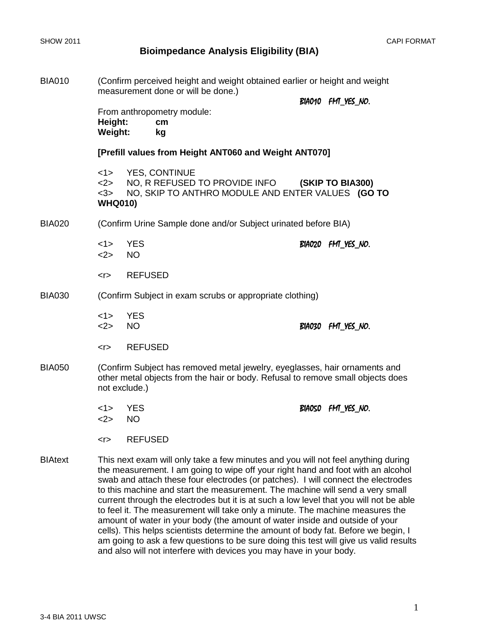| <b>BIA010</b>  | (Confirm perceived height and weight obtained earlier or height and weight<br>measurement done or will be done.)                                                               |                                                                                                                                                                                                                                                                                                                                                                                                                                                                                                                        |  |                   |  |  |
|----------------|--------------------------------------------------------------------------------------------------------------------------------------------------------------------------------|------------------------------------------------------------------------------------------------------------------------------------------------------------------------------------------------------------------------------------------------------------------------------------------------------------------------------------------------------------------------------------------------------------------------------------------------------------------------------------------------------------------------|--|-------------------|--|--|
|                |                                                                                                                                                                                |                                                                                                                                                                                                                                                                                                                                                                                                                                                                                                                        |  | BIA010 FM_YES_NO. |  |  |
|                | From anthropometry module:<br>Height:<br>cm<br><b>Weight:</b><br>kg                                                                                                            |                                                                                                                                                                                                                                                                                                                                                                                                                                                                                                                        |  |                   |  |  |
|                | [Prefill values from Height ANT060 and Weight ANT070]                                                                                                                          |                                                                                                                                                                                                                                                                                                                                                                                                                                                                                                                        |  |                   |  |  |
|                | <1><br><2><br><3><br><b>WHQ010)</b>                                                                                                                                            | <b>YES, CONTINUE</b><br>NO, R REFUSED TO PROVIDE INFO<br>NO, SKIP TO ANTHRO MODULE AND ENTER VALUES (GO TO                                                                                                                                                                                                                                                                                                                                                                                                             |  | (SKIP TO BIA300)  |  |  |
| <b>BIA020</b>  | (Confirm Urine Sample done and/or Subject urinated before BIA)                                                                                                                 |                                                                                                                                                                                                                                                                                                                                                                                                                                                                                                                        |  |                   |  |  |
|                | <1><br><2>                                                                                                                                                                     | <b>YES</b><br><b>NO</b>                                                                                                                                                                                                                                                                                                                                                                                                                                                                                                |  | BIA020 FM YES NO. |  |  |
|                | $5$                                                                                                                                                                            | <b>REFUSED</b>                                                                                                                                                                                                                                                                                                                                                                                                                                                                                                         |  |                   |  |  |
| <b>BIA030</b>  | (Confirm Subject in exam scrubs or appropriate clothing)                                                                                                                       |                                                                                                                                                                                                                                                                                                                                                                                                                                                                                                                        |  |                   |  |  |
|                | <1><br><2>                                                                                                                                                                     | <b>YES</b><br><b>NO</b>                                                                                                                                                                                                                                                                                                                                                                                                                                                                                                |  | BIA030 FM YES NO. |  |  |
|                | $<$ r $>$                                                                                                                                                                      | <b>REFUSED</b>                                                                                                                                                                                                                                                                                                                                                                                                                                                                                                         |  |                   |  |  |
| <b>BIA050</b>  | (Confirm Subject has removed metal jewelry, eyeglasses, hair ornaments and<br>other metal objects from the hair or body. Refusal to remove small objects does<br>not exclude.) |                                                                                                                                                                                                                                                                                                                                                                                                                                                                                                                        |  |                   |  |  |
|                | <1><br><2>                                                                                                                                                                     | <b>YES</b><br><b>NO</b>                                                                                                                                                                                                                                                                                                                                                                                                                                                                                                |  | BIAOSO FM_YES_NO. |  |  |
|                | < r                                                                                                                                                                            | <b>REFUSED</b>                                                                                                                                                                                                                                                                                                                                                                                                                                                                                                         |  |                   |  |  |
| <b>BIAtext</b> |                                                                                                                                                                                | This next exam will only take a few minutes and you will not feel anything during<br>the measurement. I am going to wipe off your right hand and foot with an alcohol<br>swab and attach these four electrodes (or patches). I will connect the electrodes<br>to this machine and start the measurement. The machine will send a very small<br>current through the electrodes but it is at such a low level that you will not be able<br>to feel it. The measurement will take only a minute. The machine measures the |  |                   |  |  |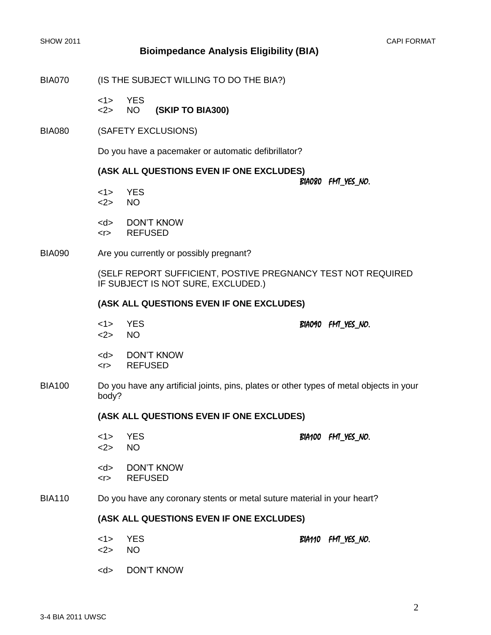BIA070 (IS THE SUBJECT WILLING TO DO THE BIA?)

<1> YES <2> NO **(SKIP TO BIA300)**

BIA080 (SAFETY EXCLUSIONS)

Do you have a pacemaker or automatic defibrillator?

#### **(ASK ALL QUESTIONS EVEN IF ONE EXCLUDES)**

#### BIA080 FMT\_YES\_NO.

- <1> YES <2> NO
- <d> DON'T KNOW
- <r> REFUSED
- BIA090 Are you currently or possibly pregnant?

(SELF REPORT SUFFICIENT, POSTIVE PREGNANCY TEST NOT REQUIRED IF SUBJECT IS NOT SURE, EXCLUDED.)

#### **(ASK ALL QUESTIONS EVEN IF ONE EXCLUDES)**

- $1 > YES$  BIA090 FMT YES NO. <2> NO
- <d> DON'T KNOW <r> REFUSED
- BIA100 Do you have any artificial joints, pins, plates or other types of metal objects in your body?

### **(ASK ALL QUESTIONS EVEN IF ONE EXCLUDES)**

<1> YES BIA100 FMT\_YES\_NO. <2> NO <d> DON'T KNOW <r> REFUSED BIA110 Do you have any coronary stents or metal suture material in your heart?

#### **(ASK ALL QUESTIONS EVEN IF ONE EXCLUDES)**

<1> YES BIA110 FMT\_YES\_NO. <2> NO <d> DON'T KNOW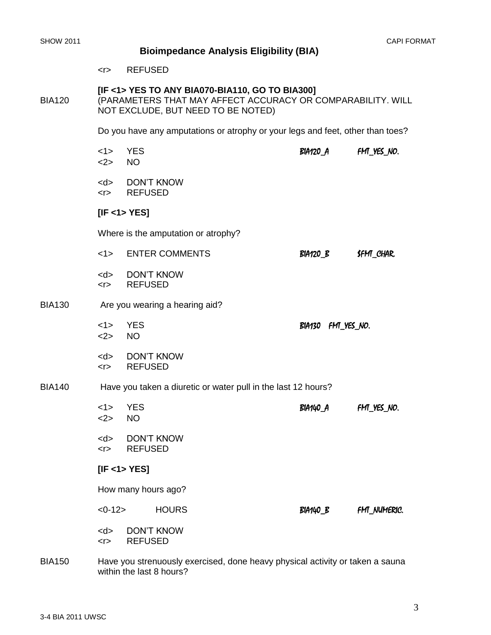**BIA130** 

# **Bioimpedance Analysis Eligibility (BIA)**

## **[IF <1> YES TO ANY BIA070-BIA110, GO TO BIA300]** BIA120 (PARAMETERS THAT MAY AFFECT ACCURACY OR COMPARABILITY. WILL NOT EXCLUDE, BUT NEED TO BE NOTED)

Do you have any amputations or atrophy or your legs and feet, other than toes?

|                | <1><br><2>                                                    | <b>YES</b><br><b>NO</b>                                                                                         | <b>BIA120_A</b>       | FM_YES_NO.         |  |  |
|----------------|---------------------------------------------------------------|-----------------------------------------------------------------------------------------------------------------|-----------------------|--------------------|--|--|
|                | $<$ d $>$<br>$<$ r $>$                                        | <b>DON'T KNOW</b><br><b>REFUSED</b>                                                                             |                       |                    |  |  |
|                | [IF < 1 > YES]                                                |                                                                                                                 |                       |                    |  |  |
|                | Where is the amputation or atrophy?                           |                                                                                                                 |                       |                    |  |  |
|                | <1>                                                           | <b>ENTER COMMENTS</b>                                                                                           | BIA120_B<br>SFM_CHAR. |                    |  |  |
|                | $<$ d $>$<br>$<$ T                                            | <b>DON'T KNOW</b><br><b>REFUSED</b>                                                                             |                       |                    |  |  |
| <b>BIA130</b>  | Are you wearing a hearing aid?                                |                                                                                                                 |                       |                    |  |  |
|                | <1><br><2>                                                    | <b>YES</b><br><b>NO</b>                                                                                         | BIA130 FM_YES_NO.     |                    |  |  |
|                | $<$ d $>$<br>$<$ r $>$                                        | <b>DON'T KNOW</b><br><b>REFUSED</b>                                                                             |                       |                    |  |  |
| <b>BIA140</b>  | Have you taken a diuretic or water pull in the last 12 hours? |                                                                                                                 |                       |                    |  |  |
|                | <1><br><2>                                                    | <b>YES</b><br><b>NO</b>                                                                                         | BIA140_A              | FM_YES_NO.         |  |  |
|                | $<$ r $>$                                                     | <d> DON'T KNOW<br/><b>REFUSED</b></d>                                                                           |                       |                    |  |  |
|                | [IF < 1 > YES]                                                |                                                                                                                 |                       |                    |  |  |
|                | How many hours ago?                                           |                                                                                                                 |                       |                    |  |  |
|                | $<0-12>$                                                      | <b>HOURS</b>                                                                                                    | BIA140_B              | <b>FM_NUMERIC.</b> |  |  |
|                | $<$ d $>$<br>$<$ r $>$                                        | <b>DON'T KNOW</b><br><b>REFUSED</b>                                                                             |                       |                    |  |  |
| P <sub>1</sub> |                                                               | the contract of the contract of the contract of the contract of the contract of the contract of the contract of |                       |                    |  |  |

BIA150 Have you strenuously exercised, done heavy physical activity or taken a sauna within the last 8 hours?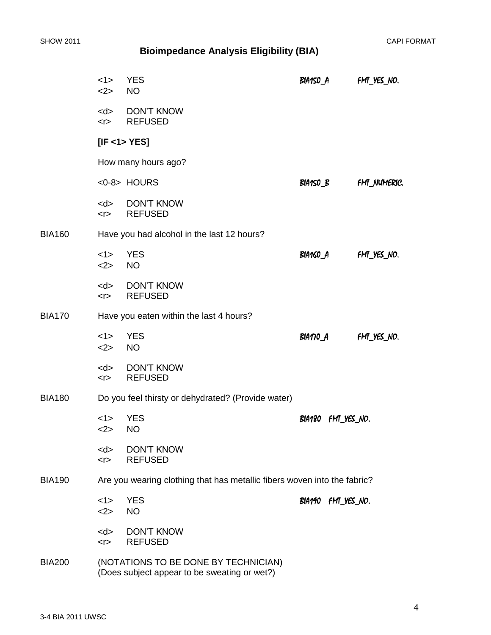|               | <1><br><2>                                                               | <b>YES</b><br><b>NO</b>                                                              | BIA150_A              | FM_YES_NO.         |  |  |  |
|---------------|--------------------------------------------------------------------------|--------------------------------------------------------------------------------------|-----------------------|--------------------|--|--|--|
|               | $<$ d $>$<br>$<$ T                                                       | <b>DON'T KNOW</b><br><b>REFUSED</b>                                                  |                       |                    |  |  |  |
|               | [IF < 1 > YES]                                                           |                                                                                      |                       |                    |  |  |  |
|               |                                                                          | How many hours ago?                                                                  |                       |                    |  |  |  |
|               |                                                                          | <0-8> HOURS                                                                          | BIA150_B              | <b>FM_NUMERIC.</b> |  |  |  |
|               | $<$ d $>$<br>< r                                                         | <b>DON'T KNOW</b><br><b>REFUSED</b>                                                  |                       |                    |  |  |  |
| <b>BIA160</b> | Have you had alcohol in the last 12 hours?                               |                                                                                      |                       |                    |  |  |  |
|               | <1><br><2>                                                               | <b>YES</b><br><b>NO</b>                                                              | BIA160_A              | FM_YES_NO.         |  |  |  |
|               | $<$ d $>$<br>$<$ T $>$                                                   | DON'T KNOW<br><b>REFUSED</b>                                                         |                       |                    |  |  |  |
| <b>BIA170</b> | Have you eaten within the last 4 hours?                                  |                                                                                      |                       |                    |  |  |  |
|               | <1><br><2>                                                               | <b>YES</b><br><b>NO</b>                                                              | BIANO_A               | FM_YES_NO.         |  |  |  |
|               | $<$ d $>$<br>$<$ T $>$                                                   | <b>DON'T KNOW</b><br><b>REFUSED</b>                                                  |                       |                    |  |  |  |
| <b>BIA180</b> | Do you feel thirsty or dehydrated? (Provide water)                       |                                                                                      |                       |                    |  |  |  |
|               | <1><br><2>                                                               | <b>YES</b><br><b>NO</b>                                                              | BIA180<br>FMT_YES_NO. |                    |  |  |  |
|               | $<$ d $>$<br><                                                           | <b>DON'T KNOW</b><br><b>REFUSED</b>                                                  |                       |                    |  |  |  |
| <b>BIA190</b> | Are you wearing clothing that has metallic fibers woven into the fabric? |                                                                                      |                       |                    |  |  |  |
|               | <1><br><2>                                                               | <b>YES</b><br><b>NO</b>                                                              | BIA190 FM YES NO.     |                    |  |  |  |
|               | $<$ d $>$<br>$<$ r $>$                                                   | <b>DON'T KNOW</b><br><b>REFUSED</b>                                                  |                       |                    |  |  |  |
| <b>BIA200</b> |                                                                          | (NOTATIONS TO BE DONE BY TECHNICIAN)<br>(Does subject appear to be sweating or wet?) |                       |                    |  |  |  |